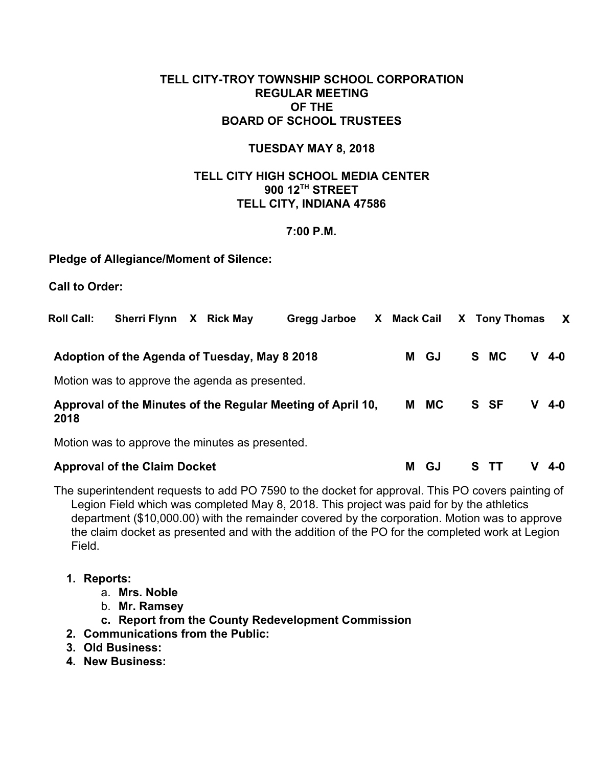# **TELL CITY-TROY TOWNSHIP SCHOOL CORPORATION REGULAR MEETING OF THE BOARD OF SCHOOL TRUSTEES**

#### **TUESDAY MAY 8, 2018**

# **TELL CITY HIGH SCHOOL MEDIA CENTER 900 12 TH STREET TELL CITY, INDIANA 47586**

#### **7:00 P.M.**

## **Pledge of Allegiance/Moment of Silence:**

**Call to Order:**

| <b>Roll Call:</b>                                                   | <b>Sherri Flynn</b>                             | $\mathsf{X}$ | <b>Rick May</b> | Gregg Jarboe |  | X Mack Cail |           |   | X Tony Thomas |   | $\mathsf{X}$ |
|---------------------------------------------------------------------|-------------------------------------------------|--------------|-----------------|--------------|--|-------------|-----------|---|---------------|---|--------------|
|                                                                     | Adoption of the Agenda of Tuesday, May 8 2018   |              |                 |              |  | М           | GJ        |   | S MC          |   | 4-0          |
|                                                                     | Motion was to approve the agenda as presented.  |              |                 |              |  |             |           |   |               |   |              |
| Approval of the Minutes of the Regular Meeting of April 10,<br>2018 |                                                 |              |                 |              |  | м           | <b>MC</b> |   | S SF          | v | 4-0          |
|                                                                     | Motion was to approve the minutes as presented. |              |                 |              |  |             |           |   |               |   |              |
|                                                                     | <b>Approval of the Claim Docket</b>             |              |                 |              |  | М           | GJ        | s |               |   | 4-0          |

The superintendent requests to add PO 7590 to the docket for approval. This PO covers painting of Legion Field which was completed May 8, 2018. This project was paid for by the athletics department (\$10,000.00) with the remainder covered by the corporation. Motion was to approve the claim docket as presented and with the addition of the PO for the completed work at Legion Field.

## **1. Reports:**

- a. **Mrs. Noble**
- b. **Mr. Ramsey**
- **c. Report from the County Redevelopment Commission**
- **2. Communications from the Public:**
- **3. Old Business:**
- **4. New Business:**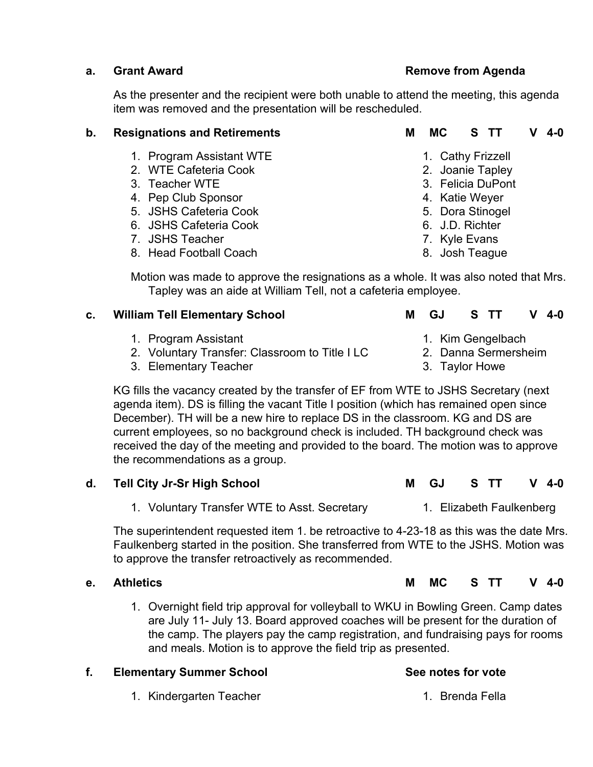# **a. Grant Award Remove from Agenda**

1. Cathy Frizzell 2. Joanie Tapley 3. Felicia DuPont 4. Katie Weyer 5. Dora Stinogel 6. J.D. Richter 7. Kyle Evans 8. Josh Teague

As the presenter and the recipient were both unable to attend the meeting, this agenda item was removed and the presentation will be rescheduled.

# **b. Resignations and Retirements M MC S TT V 4-0**

- 1. Program Assistant WTE
- 2. WTE Cafeteria Cook
- 3. Teacher WTE
- 4. Pep Club Sponsor
- 5. JSHS Cafeteria Cook
- 6. JSHS Cafeteria Cook
- 7. JSHS Teacher
- 8. Head Football Coach

Motion was made to approve the resignations as a whole. It was also noted that Mrs. Tapley was an aide at William Tell, not a cafeteria employee.

#### **c. William Tell Elementary School M GJ S TT V 4-0**

- 1. Program Assistant
- 2. Voluntary Transfer: Classroom to Title I LC
- 3. Elementary Teacher

# 1. Kim Gengelbach

- 2. Danna Sermersheim
- 3. Taylor Howe

KG fills the vacancy created by the transfer of EF from WTE to JSHS Secretary (next agenda item). DS is filling the vacant Title I position (which has remained open since December). TH will be a new hire to replace DS in the classroom. KG and DS are current employees, so no background check is included. TH background check was received the day of the meeting and provided to the board. The motion was to approve the recommendations as a group.

## **d. Tell City Jr-Sr High School M GJ S TT V 4-0**

1. Voluntary Transfer WTE to Asst. Secretary 1. Elizabeth Faulkenberg

The superintendent requested item 1. be retroactive to 4-23-18 as this was the date Mrs. Faulkenberg started in the position. She transferred from WTE to the JSHS. Motion was to approve the transfer retroactively as recommended.

1. Overnight field trip approval for volleyball to WKU in Bowling Green. Camp dates are July 11- July 13. Board approved coaches will be present for the duration of the camp. The players pay the camp registration, and fundraising pays for rooms and meals. Motion is to approve the field trip as presented.

# **f. Elementary Summer School See notes for vote**

1. Kindergarten Teacher 1. Brenda Fella

- -
	-
	-

- 
- 

**e. Athletics M MC S TT V 4-0**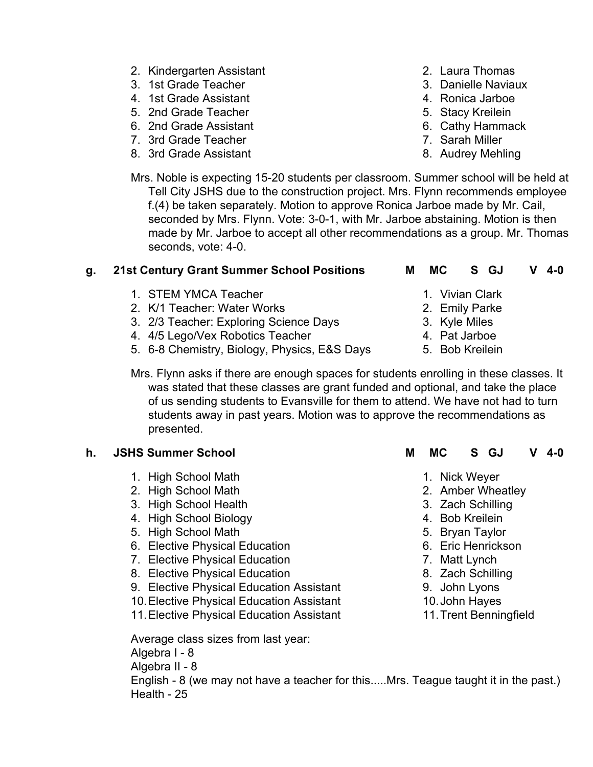- 2. Kindergarten Assistant
- 3. 1st Grade Teacher
- 4. 1st Grade Assistant
- 5. 2nd Grade Teacher
- 6. 2nd Grade Assistant
- 7. 3rd Grade Teacher
- 8. 3rd Grade Assistant
- 2. Laura Thomas
- 3. Danielle Naviaux
- 4. Ronica Jarboe
- 5. Stacy Kreilein
- 6. Cathy Hammack
- 7. Sarah Miller
- 8. Audrey Mehling

Mrs. Noble is expecting 15-20 students per classroom. Summer school will be held at Tell City JSHS due to the construction project. Mrs. Flynn recommends employee f.(4) be taken separately. Motion to approve Ronica Jarboe made by Mr. Cail, seconded by Mrs. Flynn. Vote: 3-0-1, with Mr. Jarboe abstaining. Motion is then made by Mr. Jarboe to accept all other recommendations as a group. Mr. Thomas seconds, vote: 4-0.

# **g. 21st Century Grant Summer School Positions M MC S GJ V 4-0**

- 1. STEM YMCA Teacher
- 2. K/1 Teacher: Water Works
- 3. 2/3 Teacher: Exploring Science Days
- 4. 4/5 Lego/Vex Robotics Teacher
- 5. 6-8 Chemistry, Biology, Physics, E&S Days
- - 1. Vivian Clark
	- 2. Emily Parke
	- 3. Kyle Miles
	- 4. Pat Jarboe
	- 5. Bob Kreilein

Mrs. Flynn asks if there are enough spaces for students enrolling in these classes. It was stated that these classes are grant funded and optional, and take the place of us sending students to Evansville for them to attend. We have not had to turn students away in past years. Motion was to approve the recommendations as presented.

- 1. High School Math
- 2. High School Math
- 3. High School Health
- 4. High School Biology
- 5. High School Math
- 6. Elective Physical Education
- 7. Elective Physical Education
- 8. Elective Physical Education
- 9. Elective Physical Education Assistant
- 10.Elective Physical Education Assistant
- 11.Elective Physical Education Assistant

Average class sizes from last year:

Algebra I - 8

Algebra II - 8

English - 8 (we may not have a teacher for this.....Mrs. Teague taught it in the past.) Health - 25

- **h. JSHS Summer School M MC S GJ V 4-0**
	- 1. Nick Weyer
	- 2. Amber Wheatley
	- 3. Zach Schilling
	- 4. Bob Kreilein
	- 5. Bryan Taylor
	- 6. Eric Henrickson
	- 7. Matt Lynch
	- 8. Zach Schilling
	- 9. John Lyons
	- 10.John Hayes
	- 11.Trent Benningfield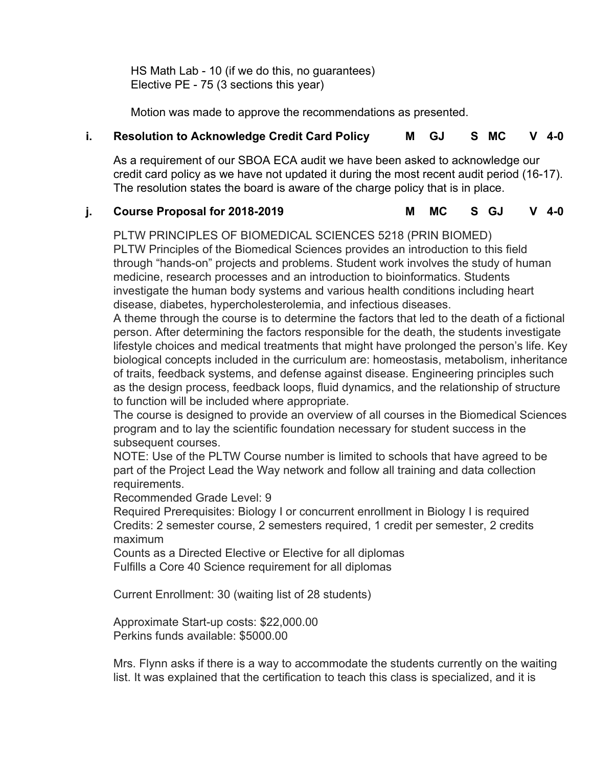HS Math Lab - 10 (if we do this, no guarantees) Elective PE - 75 (3 sections this year)

Motion was made to approve the recommendations as presented.

# **i. Resolution to Acknowledge Credit Card Policy M GJ S MC V 4-0**

As a requirement of our SBOA ECA audit we have been asked to acknowledge our credit card policy as we have not updated it during the most recent audit period (16-17). The resolution states the board is aware of the charge policy that is in place.

# **j. Course Proposal for 2018-2019 M MC S GJ V 4-0**

PLTW PRINCIPLES OF BIOMEDICAL SCIENCES 5218 (PRIN BIOMED) PLTW Principles of the Biomedical Sciences provides an introduction to this field through "hands-on" projects and problems. Student work involves the study of human medicine, research processes and an introduction to bioinformatics. Students investigate the human body systems and various health conditions including heart disease, diabetes, hypercholesterolemia, and infectious diseases.

A theme through the course is to determine the factors that led to the death of a fictional person. After determining the factors responsible for the death, the students investigate lifestyle choices and medical treatments that might have prolonged the person's life. Key biological concepts included in the curriculum are: homeostasis, metabolism, inheritance of traits, feedback systems, and defense against disease. Engineering principles such as the design process, feedback loops, fluid dynamics, and the relationship of structure to function will be included where appropriate.

The course is designed to provide an overview of all courses in the Biomedical Sciences program and to lay the scientific foundation necessary for student success in the subsequent courses.

NOTE: Use of the PLTW Course number is limited to schools that have agreed to be part of the Project Lead the Way network and follow all training and data collection requirements.

Recommended Grade Level: 9

Required Prerequisites: Biology I or concurrent enrollment in Biology I is required Credits: 2 semester course, 2 semesters required, 1 credit per semester, 2 credits maximum

Counts as a Directed Elective or Elective for all diplomas Fulfills a Core 40 Science requirement for all diplomas

Current Enrollment: 30 (waiting list of 28 students)

Approximate Start-up costs: \$22,000.00 Perkins funds available: \$5000.00

Mrs. Flynn asks if there is a way to accommodate the students currently on the waiting list. It was explained that the certification to teach this class is specialized, and it is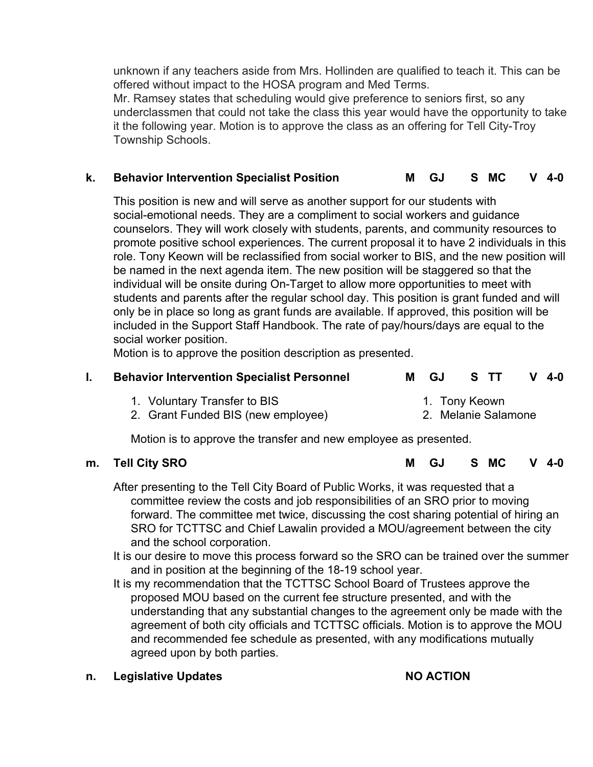unknown if any teachers aside from Mrs. Hollinden are qualified to teach it. This can be offered without impact to the HOSA program and Med Terms.

Mr. Ramsey states that scheduling would give preference to seniors first, so any underclassmen that could not take the class this year would have the opportunity to take it the following year. Motion is to approve the class as an offering for Tell City-Troy Township Schools.

# **k. Behavior Intervention Specialist Position M GJ S MC V 4-0**

This position is new and will serve as another support for our students with social-emotional needs. They are a compliment to social workers and guidance counselors. They will work closely with students, parents, and community resources to promote positive school experiences. The current proposal it to have 2 individuals in this role. Tony Keown will be reclassified from social worker to BIS, and the new position will be named in the next agenda item. The new position will be staggered so that the individual will be onsite during On-Target to allow more opportunities to meet with students and parents after the regular school day. This position is grant funded and will only be in place so long as grant funds are available. If approved, this position will be included in the Support Staff Handbook. The rate of pay/hours/days are equal to the social worker position.

Motion is to approve the position description as presented.

## **l. Behavior Intervention Specialist Personnel M GJ S TT V 4-0**

| 1. Voluntary Transfer to BIS       | 1. Tony Keown       |
|------------------------------------|---------------------|
| 2. Grant Funded BIS (new employee) | 2. Melanie Salamone |

Motion is to approve the transfer and new employee as presented.

**m. Tell City SRO M GJ S MC V 4-0**

After presenting to the Tell City Board of Public Works, it was requested that a committee review the costs and job responsibilities of an SRO prior to moving forward. The committee met twice, discussing the cost sharing potential of hiring an SRO for TCTTSC and Chief Lawalin provided a MOU/agreement between the city and the school corporation.

- It is our desire to move this process forward so the SRO can be trained over the summer and in position at the beginning of the 18-19 school year.
- It is my recommendation that the TCTTSC School Board of Trustees approve the proposed MOU based on the current fee structure presented, and with the understanding that any substantial changes to the agreement only be made with the agreement of both city officials and TCTTSC officials. Motion is to approve the MOU and recommended fee schedule as presented, with any modifications mutually agreed upon by both parties.

## **n. Legislative Updates NO ACTION**